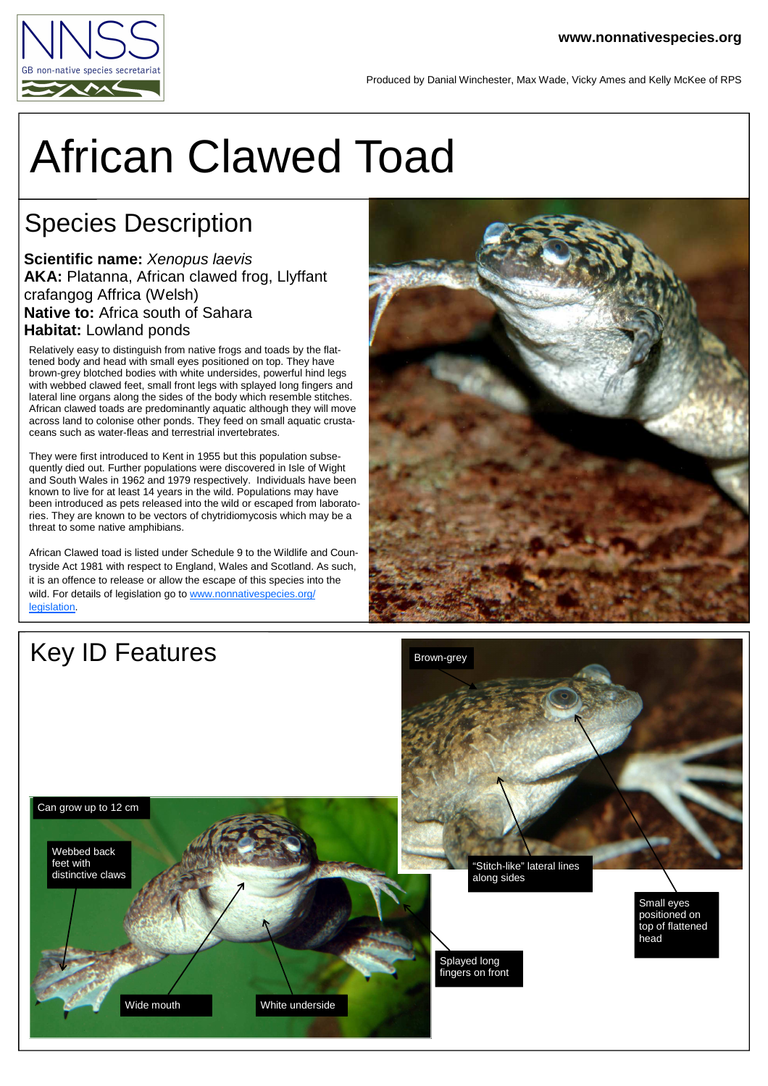

## African Clawed Toad

## Species Description

**Scientific name:** Xenopus laevis **AKA:** Platanna, African clawed frog, Llyffant crafangog Affrica (Welsh) **Native to:** Africa south of Sahara **Habitat:** Lowland ponds

Relatively easy to distinguish from native frogs and toads by the flattened body and head with small eyes positioned on top. They have brown-grey blotched bodies with white undersides, powerful hind legs with webbed clawed feet, small front legs with splayed long fingers and lateral line organs along the sides of the body which resemble stitches. African clawed toads are predominantly aquatic although they will move across land to colonise other ponds. They feed on small aquatic crustaceans such as water-fleas and terrestrial invertebrates.

They were first introduced to Kent in 1955 but this population subsequently died out. Further populations were discovered in Isle of Wight and South Wales in 1962 and 1979 respectively. Individuals have been known to live for at least 14 years in the wild. Populations may have been introduced as pets released into the wild or escaped from laboratories. They are known to be vectors of chytridiomycosis which may be a threat to some native amphibians.

African Clawed toad is listed under Schedule 9 to the Wildlife and Countryside Act 1981 with respect to England, Wales and Scotland. As such, it is an offence to release or allow the escape of this species into the wild. For details of legislation go to www.nonnativespecies.org/ legislation.